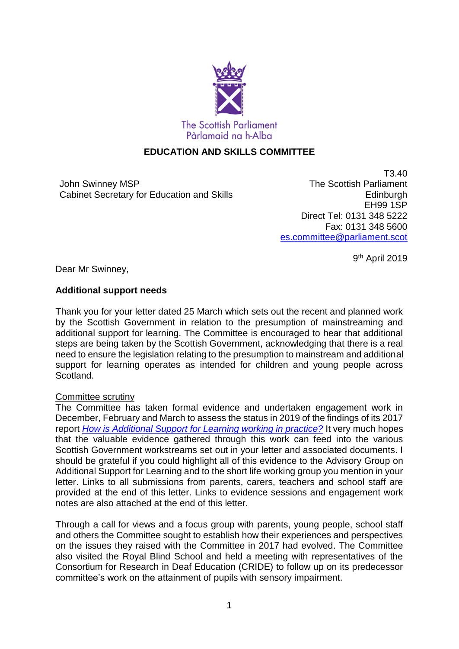

### **EDUCATION AND SKILLS COMMITTEE**

John Swinney MSP Cabinet Secretary for Education and Skills

T3.40 The Scottish Parliament **Edinburgh** EH99 1SP Direct Tel: 0131 348 5222 Fax: 0131 348 5600 [es.committee@parliament.scot](mailto:es.committee@parliament.scot)

9<sup>th</sup> April 2019

Dear Mr Swinney,

### **Additional support needs**

Thank you for your letter dated 25 March which sets out the recent and planned work by the Scottish Government in relation to the presumption of mainstreaming and additional support for learning. The Committee is encouraged to hear that additional steps are being taken by the Scottish Government, acknowledging that there is a real need to ensure the legislation relating to the presumption to mainstream and additional support for learning operates as intended for children and young people across Scotland.

### Committee scrutiny

The Committee has taken formal evidence and undertaken engagement work in December, February and March to assess the status in 2019 of the findings of its 2017 report *[How is Additional Support for Learning working in practice?](https://www.parliament.scot/S5_Education/Reports/ASN_6th_Report_2017.pdf)* It very much hopes that the valuable evidence gathered through this work can feed into the various Scottish Government workstreams set out in your letter and associated documents. I should be grateful if you could highlight all of this evidence to the Advisory Group on Additional Support for Learning and to the short life working group you mention in your letter. Links to all submissions from parents, carers, teachers and school staff are provided at the end of this letter. Links to evidence sessions and engagement work notes are also attached at the end of this letter.

Through a call for views and a focus group with parents, young people, school staff and others the Committee sought to establish how their experiences and perspectives on the issues they raised with the Committee in 2017 had evolved. The Committee also visited the Royal Blind School and held a meeting with representatives of the Consortium for Research in Deaf Education (CRIDE) to follow up on its predecessor committee's work on the attainment of pupils with sensory impairment.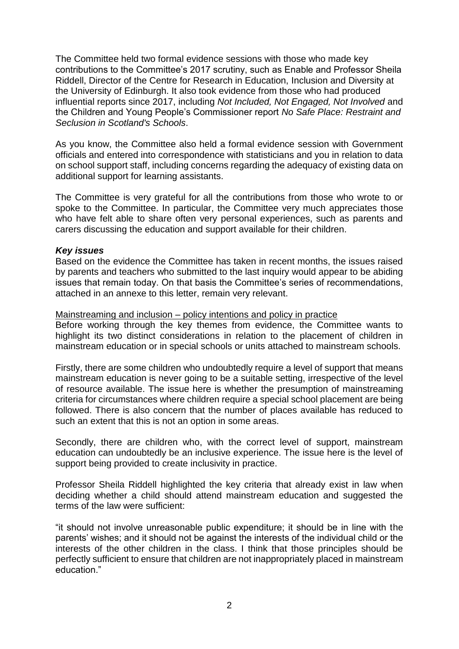The Committee held two formal evidence sessions with those who made key contributions to the Committee's 2017 scrutiny, such as Enable and Professor Sheila Riddell, Director of the Centre for Research in Education, Inclusion and Diversity at the University of Edinburgh. It also took evidence from those who had produced influential reports since 2017, including *Not Included, Not Engaged, Not Involved* and the Children and Young People's Commissioner report *No Safe Place: Restraint and Seclusion in Scotland's Schools*.

As you know, the Committee also held a formal evidence session with Government officials and entered into correspondence with statisticians and you in relation to data on school support staff, including concerns regarding the adequacy of existing data on additional support for learning assistants.

The Committee is very grateful for all the contributions from those who wrote to or spoke to the Committee. In particular, the Committee very much appreciates those who have felt able to share often very personal experiences, such as parents and carers discussing the education and support available for their children.

#### *Key issues*

Based on the evidence the Committee has taken in recent months, the issues raised by parents and teachers who submitted to the last inquiry would appear to be abiding issues that remain today. On that basis the Committee's series of recommendations, attached in an annexe to this letter, remain very relevant.

#### Mainstreaming and inclusion – policy intentions and policy in practice

Before working through the key themes from evidence, the Committee wants to highlight its two distinct considerations in relation to the placement of children in mainstream education or in special schools or units attached to mainstream schools.

Firstly, there are some children who undoubtedly require a level of support that means mainstream education is never going to be a suitable setting, irrespective of the level of resource available. The issue here is whether the presumption of mainstreaming criteria for circumstances where children require a special school placement are being followed. There is also concern that the number of places available has reduced to such an extent that this is not an option in some areas.

Secondly, there are children who, with the correct level of support, mainstream education can undoubtedly be an inclusive experience. The issue here is the level of support being provided to create inclusivity in practice.

Professor Sheila Riddell highlighted the key criteria that already exist in law when deciding whether a child should attend mainstream education and suggested the terms of the law were sufficient:

"it should not involve unreasonable public expenditure; it should be in line with the parents' wishes; and it should not be against the interests of the individual child or the interests of the other children in the class. I think that those principles should be perfectly sufficient to ensure that children are not inappropriately placed in mainstream education."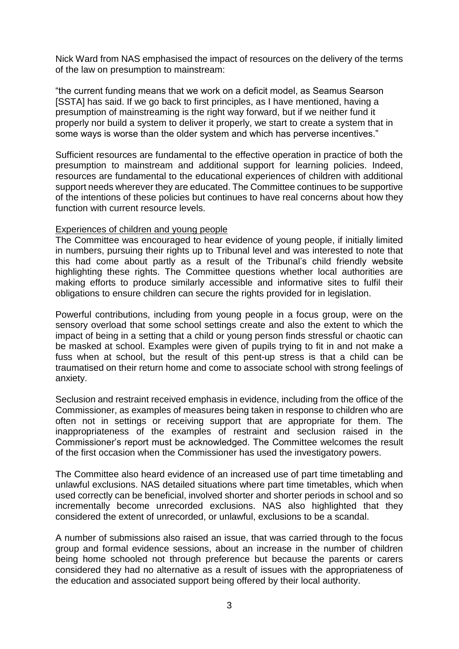Nick Ward from NAS emphasised the impact of resources on the delivery of the terms of the law on presumption to mainstream:

"the current funding means that we work on a deficit model, as Seamus Searson [SSTA] has said. If we go back to first principles, as I have mentioned, having a presumption of mainstreaming is the right way forward, but if we neither fund it properly nor build a system to deliver it properly, we start to create a system that in some ways is worse than the older system and which has perverse incentives."

Sufficient resources are fundamental to the effective operation in practice of both the presumption to mainstream and additional support for learning policies. Indeed, resources are fundamental to the educational experiences of children with additional support needs wherever they are educated. The Committee continues to be supportive of the intentions of these policies but continues to have real concerns about how they function with current resource levels.

### Experiences of children and young people

The Committee was encouraged to hear evidence of young people, if initially limited in numbers, pursuing their rights up to Tribunal level and was interested to note that this had come about partly as a result of the Tribunal's child friendly website highlighting these rights. The Committee questions whether local authorities are making efforts to produce similarly accessible and informative sites to fulfil their obligations to ensure children can secure the rights provided for in legislation.

Powerful contributions, including from young people in a focus group, were on the sensory overload that some school settings create and also the extent to which the impact of being in a setting that a child or young person finds stressful or chaotic can be masked at school. Examples were given of pupils trying to fit in and not make a fuss when at school, but the result of this pent-up stress is that a child can be traumatised on their return home and come to associate school with strong feelings of anxiety.

Seclusion and restraint received emphasis in evidence, including from the office of the Commissioner, as examples of measures being taken in response to children who are often not in settings or receiving support that are appropriate for them. The inappropriateness of the examples of restraint and seclusion raised in the Commissioner's report must be acknowledged. The Committee welcomes the result of the first occasion when the Commissioner has used the investigatory powers.

The Committee also heard evidence of an increased use of part time timetabling and unlawful exclusions. NAS detailed situations where part time timetables, which when used correctly can be beneficial, involved shorter and shorter periods in school and so incrementally become unrecorded exclusions. NAS also highlighted that they considered the extent of unrecorded, or unlawful, exclusions to be a scandal.

A number of submissions also raised an issue, that was carried through to the focus group and formal evidence sessions, about an increase in the number of children being home schooled not through preference but because the parents or carers considered they had no alternative as a result of issues with the appropriateness of the education and associated support being offered by their local authority.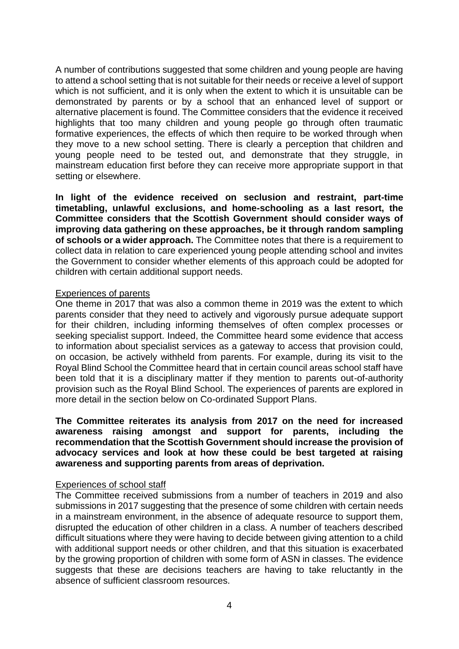A number of contributions suggested that some children and young people are having to attend a school setting that is not suitable for their needs or receive a level of support which is not sufficient, and it is only when the extent to which it is unsuitable can be demonstrated by parents or by a school that an enhanced level of support or alternative placement is found. The Committee considers that the evidence it received highlights that too many children and young people go through often traumatic formative experiences, the effects of which then require to be worked through when they move to a new school setting. There is clearly a perception that children and young people need to be tested out, and demonstrate that they struggle, in mainstream education first before they can receive more appropriate support in that setting or elsewhere.

**In light of the evidence received on seclusion and restraint, part-time timetabling, unlawful exclusions, and home-schooling as a last resort, the Committee considers that the Scottish Government should consider ways of improving data gathering on these approaches, be it through random sampling of schools or a wider approach.** The Committee notes that there is a requirement to collect data in relation to care experienced young people attending school and invites the Government to consider whether elements of this approach could be adopted for children with certain additional support needs.

#### Experiences of parents

One theme in 2017 that was also a common theme in 2019 was the extent to which parents consider that they need to actively and vigorously pursue adequate support for their children, including informing themselves of often complex processes or seeking specialist support. Indeed, the Committee heard some evidence that access to information about specialist services as a gateway to access that provision could, on occasion, be actively withheld from parents. For example, during its visit to the Royal Blind School the Committee heard that in certain council areas school staff have been told that it is a disciplinary matter if they mention to parents out-of-authority provision such as the Royal Blind School. The experiences of parents are explored in more detail in the section below on Co-ordinated Support Plans.

**The Committee reiterates its analysis from 2017 on the need for increased awareness raising amongst and support for parents, including the recommendation that the Scottish Government should increase the provision of advocacy services and look at how these could be best targeted at raising awareness and supporting parents from areas of deprivation.**

#### Experiences of school staff

The Committee received submissions from a number of teachers in 2019 and also submissions in 2017 suggesting that the presence of some children with certain needs in a mainstream environment, in the absence of adequate resource to support them, disrupted the education of other children in a class. A number of teachers described difficult situations where they were having to decide between giving attention to a child with additional support needs or other children, and that this situation is exacerbated by the growing proportion of children with some form of ASN in classes. The evidence suggests that these are decisions teachers are having to take reluctantly in the absence of sufficient classroom resources.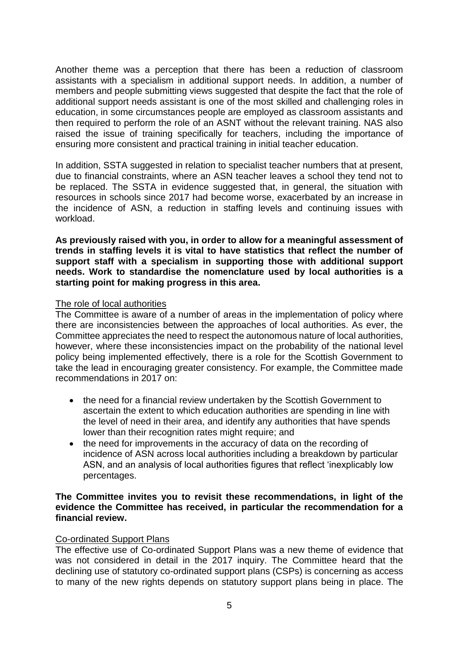Another theme was a perception that there has been a reduction of classroom assistants with a specialism in additional support needs. In addition, a number of members and people submitting views suggested that despite the fact that the role of additional support needs assistant is one of the most skilled and challenging roles in education, in some circumstances people are employed as classroom assistants and then required to perform the role of an ASNT without the relevant training. NAS also raised the issue of training specifically for teachers, including the importance of ensuring more consistent and practical training in initial teacher education.

In addition, SSTA suggested in relation to specialist teacher numbers that at present, due to financial constraints, where an ASN teacher leaves a school they tend not to be replaced. The SSTA in evidence suggested that, in general, the situation with resources in schools since 2017 had become worse, exacerbated by an increase in the incidence of ASN, a reduction in staffing levels and continuing issues with workload.

**As previously raised with you, in order to allow for a meaningful assessment of trends in staffing levels it is vital to have statistics that reflect the number of support staff with a specialism in supporting those with additional support needs. Work to standardise the nomenclature used by local authorities is a starting point for making progress in this area.** 

### The role of local authorities

The Committee is aware of a number of areas in the implementation of policy where there are inconsistencies between the approaches of local authorities. As ever, the Committee appreciates the need to respect the autonomous nature of local authorities, however, where these inconsistencies impact on the probability of the national level policy being implemented effectively, there is a role for the Scottish Government to take the lead in encouraging greater consistency. For example, the Committee made recommendations in 2017 on:

- the need for a financial review undertaken by the Scottish Government to ascertain the extent to which education authorities are spending in line with the level of need in their area, and identify any authorities that have spends lower than their recognition rates might require; and
- the need for improvements in the accuracy of data on the recording of incidence of ASN across local authorities including a breakdown by particular ASN, and an analysis of local authorities figures that reflect 'inexplicably low percentages.

#### **The Committee invites you to revisit these recommendations, in light of the evidence the Committee has received, in particular the recommendation for a financial review.**

#### Co-ordinated Support Plans

The effective use of Co-ordinated Support Plans was a new theme of evidence that was not considered in detail in the 2017 inquiry. The Committee heard that the declining use of statutory co-ordinated support plans (CSPs) is concerning as access to many of the new rights depends on statutory support plans being in place. The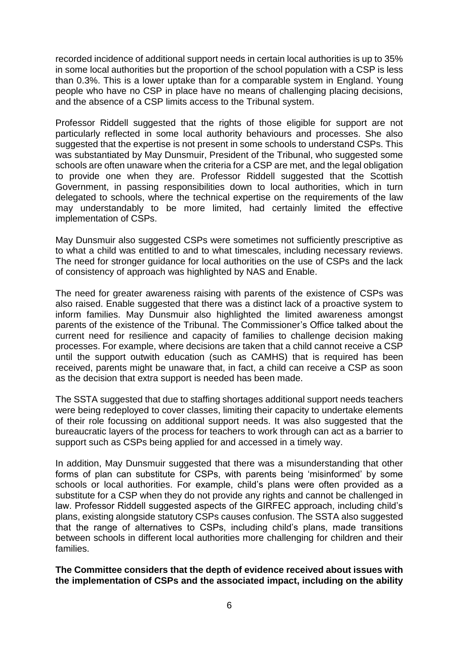recorded incidence of additional support needs in certain local authorities is up to 35% in some local authorities but the proportion of the school population with a CSP is less than 0.3%. This is a lower uptake than for a comparable system in England. Young people who have no CSP in place have no means of challenging placing decisions, and the absence of a CSP limits access to the Tribunal system.

Professor Riddell suggested that the rights of those eligible for support are not particularly reflected in some local authority behaviours and processes. She also suggested that the expertise is not present in some schools to understand CSPs. This was substantiated by May Dunsmuir, President of the Tribunal, who suggested some schools are often unaware when the criteria for a CSP are met, and the legal obligation to provide one when they are. Professor Riddell suggested that the Scottish Government, in passing responsibilities down to local authorities, which in turn delegated to schools, where the technical expertise on the requirements of the law may understandably to be more limited, had certainly limited the effective implementation of CSPs.

May Dunsmuir also suggested CSPs were sometimes not sufficiently prescriptive as to what a child was entitled to and to what timescales, including necessary reviews. The need for stronger guidance for local authorities on the use of CSPs and the lack of consistency of approach was highlighted by NAS and Enable.

The need for greater awareness raising with parents of the existence of CSPs was also raised. Enable suggested that there was a distinct lack of a proactive system to inform families. May Dunsmuir also highlighted the limited awareness amongst parents of the existence of the Tribunal. The Commissioner's Office talked about the current need for resilience and capacity of families to challenge decision making processes. For example, where decisions are taken that a child cannot receive a CSP until the support outwith education (such as CAMHS) that is required has been received, parents might be unaware that, in fact, a child can receive a CSP as soon as the decision that extra support is needed has been made.

The SSTA suggested that due to staffing shortages additional support needs teachers were being redeployed to cover classes, limiting their capacity to undertake elements of their role focussing on additional support needs. It was also suggested that the bureaucratic layers of the process for teachers to work through can act as a barrier to support such as CSPs being applied for and accessed in a timely way.

In addition, May Dunsmuir suggested that there was a misunderstanding that other forms of plan can substitute for CSPs, with parents being 'misinformed' by some schools or local authorities. For example, child's plans were often provided as a substitute for a CSP when they do not provide any rights and cannot be challenged in law. Professor Riddell suggested aspects of the GIRFEC approach, including child's plans, existing alongside statutory CSPs causes confusion. The SSTA also suggested that the range of alternatives to CSPs, including child's plans, made transitions between schools in different local authorities more challenging for children and their families.

**The Committee considers that the depth of evidence received about issues with the implementation of CSPs and the associated impact, including on the ability**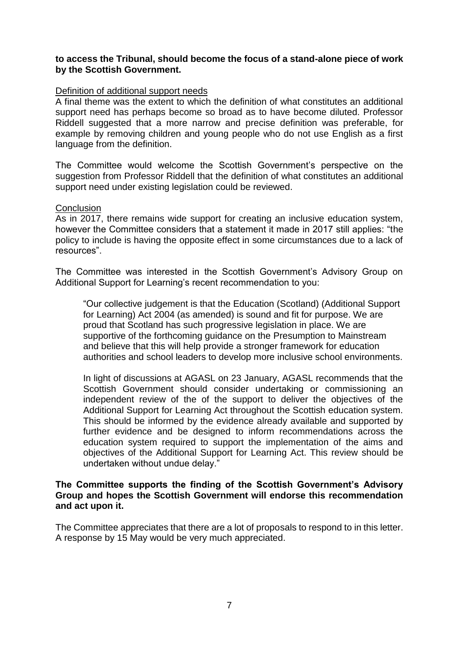#### **to access the Tribunal, should become the focus of a stand-alone piece of work by the Scottish Government.**

#### Definition of additional support needs

A final theme was the extent to which the definition of what constitutes an additional support need has perhaps become so broad as to have become diluted. Professor Riddell suggested that a more narrow and precise definition was preferable, for example by removing children and young people who do not use English as a first language from the definition.

The Committee would welcome the Scottish Government's perspective on the suggestion from Professor Riddell that the definition of what constitutes an additional support need under existing legislation could be reviewed.

#### **Conclusion**

As in 2017, there remains wide support for creating an inclusive education system, however the Committee considers that a statement it made in 2017 still applies: "the policy to include is having the opposite effect in some circumstances due to a lack of resources".

The Committee was interested in the Scottish Government's Advisory Group on Additional Support for Learning's recent recommendation to you:

"Our collective judgement is that the Education (Scotland) (Additional Support for Learning) Act 2004 (as amended) is sound and fit for purpose. We are proud that Scotland has such progressive legislation in place. We are supportive of the forthcoming guidance on the Presumption to Mainstream and believe that this will help provide a stronger framework for education authorities and school leaders to develop more inclusive school environments.

In light of discussions at AGASL on 23 January, AGASL recommends that the Scottish Government should consider undertaking or commissioning an independent review of the of the support to deliver the objectives of the Additional Support for Learning Act throughout the Scottish education system. This should be informed by the evidence already available and supported by further evidence and be designed to inform recommendations across the education system required to support the implementation of the aims and objectives of the Additional Support for Learning Act. This review should be undertaken without undue delay."

#### **The Committee supports the finding of the Scottish Government's Advisory Group and hopes the Scottish Government will endorse this recommendation and act upon it.**

The Committee appreciates that there are a lot of proposals to respond to in this letter. A response by 15 May would be very much appreciated.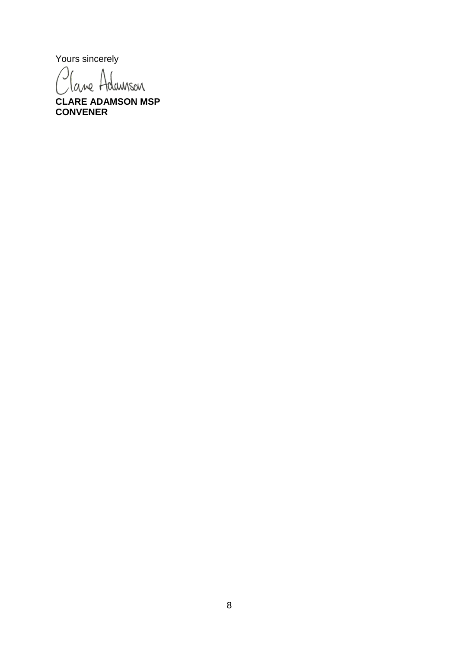Yours sincerely

Cane Adamson

**CLARE ADAMSON MSP CONVENER**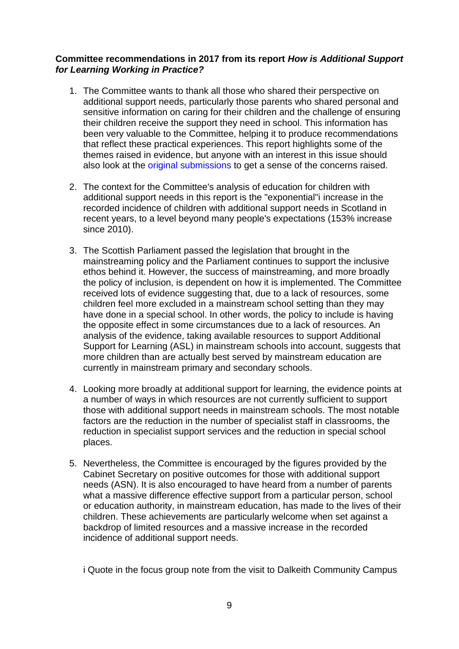### **Committee recommendations in 2017 from its report** *How is Additional Support for Learning Working in Practice?*

- 1. The Committee wants to thank all those who shared their perspective on additional support needs, particularly those parents who shared personal and sensitive information on caring for their children and the challenge of ensuring their children receive the support they need in school. This information has been very valuable to the Committee, helping it to produce recommendations that reflect these practical experiences. This report highlights some of the themes raised in evidence, but anyone with an interest in this issue should also look at the original submissions to get a sense of the concerns raised.
- 2. The context for the Committee's analysis of education for children with additional support needs in this report is the "exponential"i increase in the recorded incidence of children with additional support needs in Scotland in recent years, to a level beyond many people's expectations (153% increase since 2010).
- 3. The Scottish Parliament passed the legislation that brought in the mainstreaming policy and the Parliament continues to support the inclusive ethos behind it. However, the success of mainstreaming, and more broadly the policy of inclusion, is dependent on how it is implemented. The Committee received lots of evidence suggesting that, due to a lack of resources, some children feel more excluded in a mainstream school setting than they may have done in a special school. In other words, the policy to include is having the opposite effect in some circumstances due to a lack of resources. An analysis of the evidence, taking available resources to support Additional Support for Learning (ASL) in mainstream schools into account, suggests that more children than are actually best served by mainstream education are currently in mainstream primary and secondary schools.
- 4. Looking more broadly at additional support for learning, the evidence points at a number of ways in which resources are not currently sufficient to support those with additional support needs in mainstream schools. The most notable factors are the reduction in the number of specialist staff in classrooms, the reduction in specialist support services and the reduction in special school places.
- 5. Nevertheless, the Committee is encouraged by the figures provided by the Cabinet Secretary on positive outcomes for those with additional support needs (ASN). It is also encouraged to have heard from a number of parents what a massive difference effective support from a particular person, school or education authority, in mainstream education, has made to the lives of their children. These achievements are particularly welcome when set against a backdrop of limited resources and a massive increase in the recorded incidence of additional support needs.

i Quote in the focus group note from the visit to Dalkeith Community Campus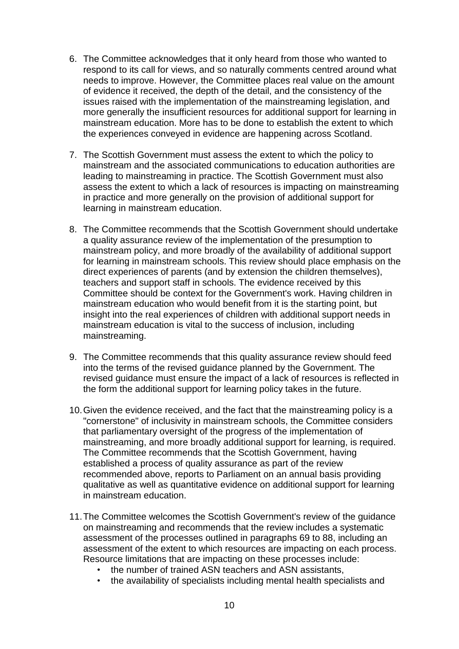- 6. The Committee acknowledges that it only heard from those who wanted to respond to its call for views, and so naturally comments centred around what needs to improve. However, the Committee places real value on the amount of evidence it received, the depth of the detail, and the consistency of the issues raised with the implementation of the mainstreaming legislation, and more generally the insufficient resources for additional support for learning in mainstream education. More has to be done to establish the extent to which the experiences conveyed in evidence are happening across Scotland.
- 7. The Scottish Government must assess the extent to which the policy to mainstream and the associated communications to education authorities are leading to mainstreaming in practice. The Scottish Government must also assess the extent to which a lack of resources is impacting on mainstreaming in practice and more generally on the provision of additional support for learning in mainstream education.
- 8. The Committee recommends that the Scottish Government should undertake a quality assurance review of the implementation of the presumption to mainstream policy, and more broadly of the availability of additional support for learning in mainstream schools. This review should place emphasis on the direct experiences of parents (and by extension the children themselves), teachers and support staff in schools. The evidence received by this Committee should be context for the Government's work. Having children in mainstream education who would benefit from it is the starting point, but insight into the real experiences of children with additional support needs in mainstream education is vital to the success of inclusion, including mainstreaming.
- 9. The Committee recommends that this quality assurance review should feed into the terms of the revised guidance planned by the Government. The revised guidance must ensure the impact of a lack of resources is reflected in the form the additional support for learning policy takes in the future.
- 10.Given the evidence received, and the fact that the mainstreaming policy is a "cornerstone" of inclusivity in mainstream schools, the Committee considers that parliamentary oversight of the progress of the implementation of mainstreaming, and more broadly additional support for learning, is required. The Committee recommends that the Scottish Government, having established a process of quality assurance as part of the review recommended above, reports to Parliament on an annual basis providing qualitative as well as quantitative evidence on additional support for learning in mainstream education.
- 11.The Committee welcomes the Scottish Government's review of the guidance on mainstreaming and recommends that the review includes a systematic assessment of the processes outlined in paragraphs 69 to 88, including an assessment of the extent to which resources are impacting on each process. Resource limitations that are impacting on these processes include:
	- the number of trained ASN teachers and ASN assistants,
	- the availability of specialists including mental health specialists and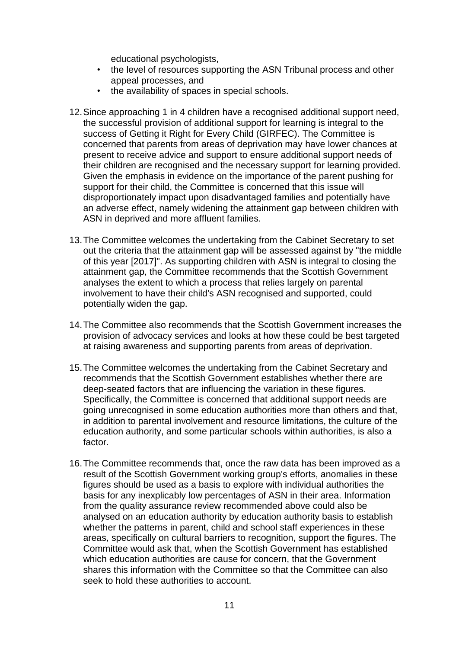educational psychologists,

- the level of resources supporting the ASN Tribunal process and other appeal processes, and
- the availability of spaces in special schools.
- 12.Since approaching 1 in 4 children have a recognised additional support need, the successful provision of additional support for learning is integral to the success of Getting it Right for Every Child (GIRFEC). The Committee is concerned that parents from areas of deprivation may have lower chances at present to receive advice and support to ensure additional support needs of their children are recognised and the necessary support for learning provided. Given the emphasis in evidence on the importance of the parent pushing for support for their child, the Committee is concerned that this issue will disproportionately impact upon disadvantaged families and potentially have an adverse effect, namely widening the attainment gap between children with ASN in deprived and more affluent families.
- 13.The Committee welcomes the undertaking from the Cabinet Secretary to set out the criteria that the attainment gap will be assessed against by "the middle of this year [2017]". As supporting children with ASN is integral to closing the attainment gap, the Committee recommends that the Scottish Government analyses the extent to which a process that relies largely on parental involvement to have their child's ASN recognised and supported, could potentially widen the gap.
- 14.The Committee also recommends that the Scottish Government increases the provision of advocacy services and looks at how these could be best targeted at raising awareness and supporting parents from areas of deprivation.
- 15.The Committee welcomes the undertaking from the Cabinet Secretary and recommends that the Scottish Government establishes whether there are deep-seated factors that are influencing the variation in these figures. Specifically, the Committee is concerned that additional support needs are going unrecognised in some education authorities more than others and that, in addition to parental involvement and resource limitations, the culture of the education authority, and some particular schools within authorities, is also a factor.
- 16.The Committee recommends that, once the raw data has been improved as a result of the Scottish Government working group's efforts, anomalies in these figures should be used as a basis to explore with individual authorities the basis for any inexplicably low percentages of ASN in their area. Information from the quality assurance review recommended above could also be analysed on an education authority by education authority basis to establish whether the patterns in parent, child and school staff experiences in these areas, specifically on cultural barriers to recognition, support the figures. The Committee would ask that, when the Scottish Government has established which education authorities are cause for concern, that the Government shares this information with the Committee so that the Committee can also seek to hold these authorities to account.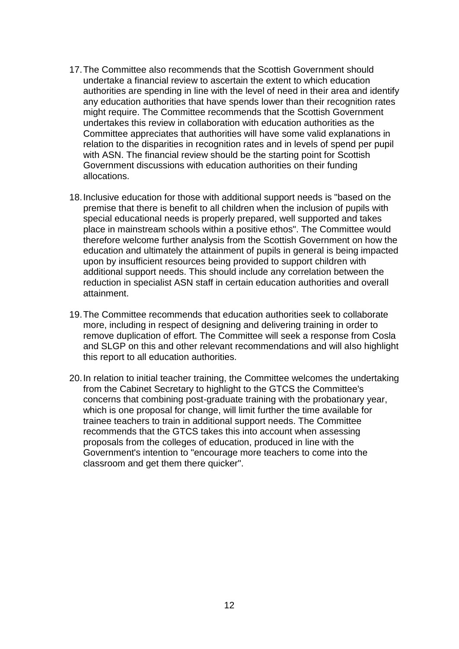- 17.The Committee also recommends that the Scottish Government should undertake a financial review to ascertain the extent to which education authorities are spending in line with the level of need in their area and identify any education authorities that have spends lower than their recognition rates might require. The Committee recommends that the Scottish Government undertakes this review in collaboration with education authorities as the Committee appreciates that authorities will have some valid explanations in relation to the disparities in recognition rates and in levels of spend per pupil with ASN. The financial review should be the starting point for Scottish Government discussions with education authorities on their funding allocations.
- 18.Inclusive education for those with additional support needs is "based on the premise that there is benefit to all children when the inclusion of pupils with special educational needs is properly prepared, well supported and takes place in mainstream schools within a positive ethos". The Committee would therefore welcome further analysis from the Scottish Government on how the education and ultimately the attainment of pupils in general is being impacted upon by insufficient resources being provided to support children with additional support needs. This should include any correlation between the reduction in specialist ASN staff in certain education authorities and overall attainment.
- 19.The Committee recommends that education authorities seek to collaborate more, including in respect of designing and delivering training in order to remove duplication of effort. The Committee will seek a response from Cosla and SLGP on this and other relevant recommendations and will also highlight this report to all education authorities.
- 20.In relation to initial teacher training, the Committee welcomes the undertaking from the Cabinet Secretary to highlight to the GTCS the Committee's concerns that combining post-graduate training with the probationary year, which is one proposal for change, will limit further the time available for trainee teachers to train in additional support needs. The Committee recommends that the GTCS takes this into account when assessing proposals from the colleges of education, produced in line with the Government's intention to "encourage more teachers to come into the classroom and get them there quicker".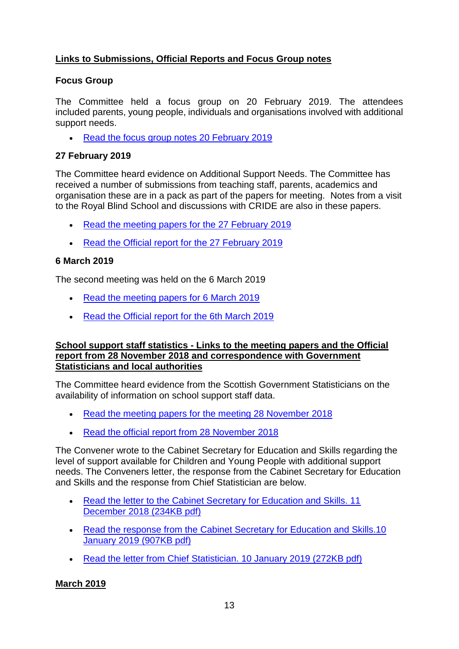# **Links to Submissions, Official Reports and Focus Group notes**

## **Focus Group**

The Committee held a focus group on 20 February 2019. The attendees included parents, young people, individuals and organisations involved with additional support needs.

• [Read the focus group notes 20 February 2019](https://www.parliament.scot/S5_Education/Inquiries/20190220ASN_focus_group_notes.pdf)

## **27 February 2019**

The Committee heard evidence on Additional Support Needs. The Committee has received a number of submissions from teaching staff, parents, academics and organisation these are in a pack as part of the papers for meeting. Notes from a visit to the Royal Blind School and discussions with CRIDE are also in these papers.

- [Read the meeting papers for the 27 February 2019](https://www.parliament.scot/S5_Education/Meeting%20Papers/20190227Meeting_papers.pdf)
- [Read the Official report for the 27 February](https://www.parliament.scot/parliamentarybusiness/report.aspx?r=11971&mode=pdf) 2019

### **6 March 2019**

The second meeting was held on the 6 March 2019

- [Read the meeting papers for 6 March 2019](https://www.parliament.scot/S5_Education/Meeting%20Papers/20190306ES_Meeting_papers.pdf)
- [Read the Official report for the 6th March 2019](https://http/www.parliament.scot/parliamentarybusiness/report.aspx?r=11986&mode=pdf)

### **School support staff statistics - Links to the meeting papers and the Official report from 28 November 2018 and correspondence with Government Statisticians and local authorities**

The Committee heard evidence from the Scottish Government Statisticians on the availability of information on school support staff data.

- [Read the meeting papers for the meeting 28 November 2018](https://www.parliament.scot/S5_Education/Meeting%20Papers/20181128ES_Meeting_papers.pdf)
- [Read the official report from 28 November](http://www.scottish.parliament.uk/parliamentarybusiness/report.aspx?r=11818&mode=pdf) 2018

The Convener wrote to the Cabinet Secretary for Education and Skills regarding the level of support available for Children and Young People with additional support needs. The Conveners letter, the response from the Cabinet Secretary for Education and Skills and the response from Chief Statistician are below.

- [Read the letter to the Cabinet Secretary for Education and Skills. 11](https://www.parliament.scot/S5_Education/Meeting%20Papers/20181211_Convener_to_CabSec_ASN_Staff.pdf)  [December 2018 \(234KB pdf\)](https://www.parliament.scot/S5_Education/Meeting%20Papers/20181211_Convener_to_CabSec_ASN_Staff.pdf)
- Read the response from the Cabinet Secretary for Education and Skills.10 [January 2019 \(907KB pdf\)](https://www.parliament.scot/S5_Education/Inquiries/20190110In_ltr_from_DFM_re_asn_support_staff.pdf)
- [Read the letter from Chief Statistician. 10 January 2019 \(272KB pdf\)](https://www.parliament.scot/S5_Education/Inquiries/20190110_In_ASN_support_staff_statistics_from_Chief_Statistician.pdf)

# **March 2019**